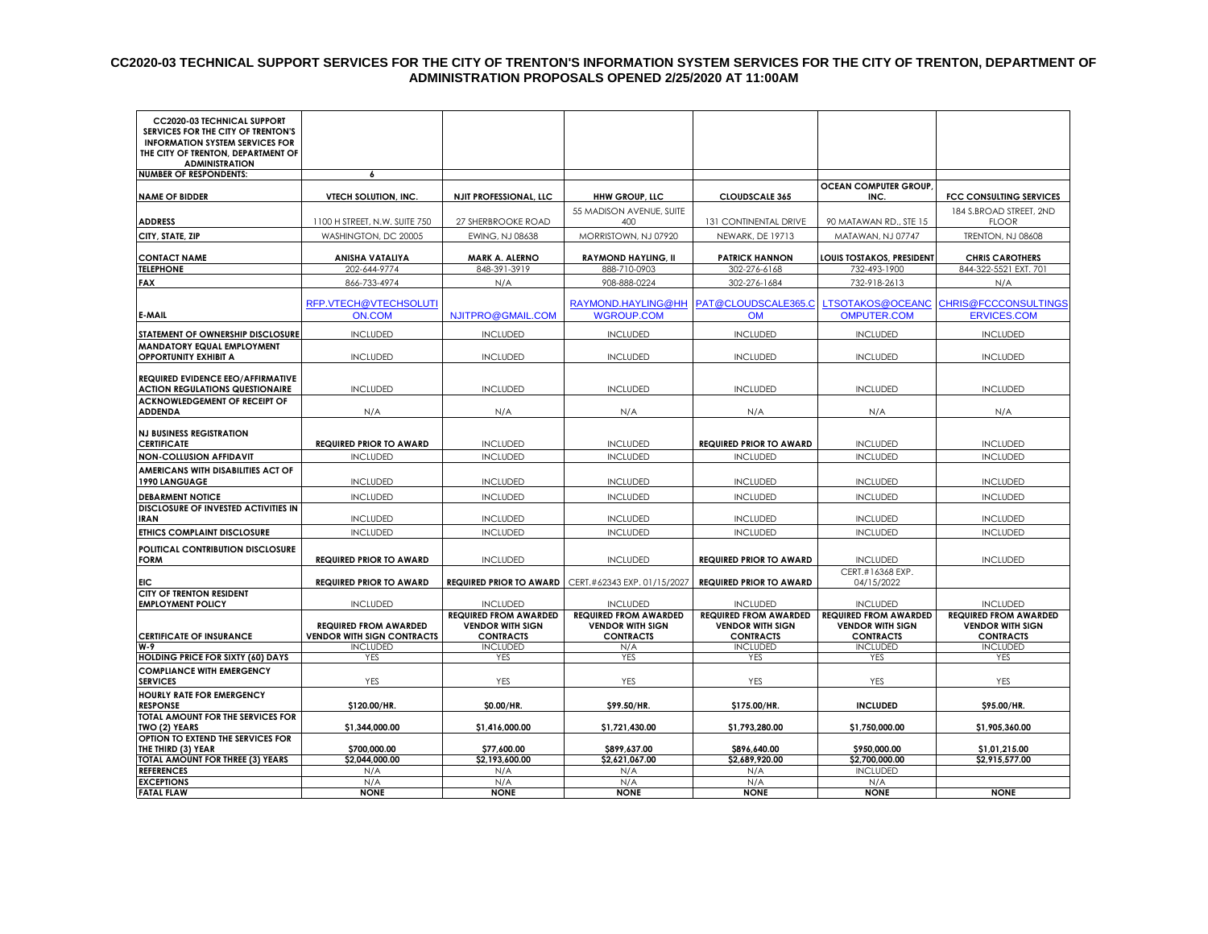#### **CC2020-03 TECHNICAL SUPPORT SERVICES FOR THE CITY OF TRENTON'S INFORMATION SYSTEM SERVICES FOR THE CITY OF TRENTON, DEPARTMENT OF ADMINISTRATION PROPOSALS OPENED 2/25/2020 AT 11:00AM**

| <b>CC2020-03 TECHNICAL SUPPORT</b><br>SERVICES FOR THE CITY OF TRENTON'S<br><b>INFORMATION SYSTEM SERVICES FOR</b><br>THE CITY OF TRENTON, DEPARTMENT OF<br><b>ADMINISTRATION</b> |                                                                   |                                                                             |                                                                             |                                                                             |                                                                             |                                                                             |
|-----------------------------------------------------------------------------------------------------------------------------------------------------------------------------------|-------------------------------------------------------------------|-----------------------------------------------------------------------------|-----------------------------------------------------------------------------|-----------------------------------------------------------------------------|-----------------------------------------------------------------------------|-----------------------------------------------------------------------------|
| <b>NUMBER OF RESPONDENTS:</b>                                                                                                                                                     | 6                                                                 |                                                                             |                                                                             |                                                                             |                                                                             |                                                                             |
| <b>NAME OF BIDDER</b>                                                                                                                                                             | <b>VTECH SOLUTION, INC.</b>                                       | <b>NJIT PROFESSIONAL, LLC</b>                                               | <b>HHW GROUP, LLC</b>                                                       | <b>CLOUDSCALE 365</b>                                                       | <b>OCEAN COMPUTER GROUP,</b><br>INC.                                        | <b>FCC CONSULTING SERVICES</b>                                              |
| <b>ADDRESS</b>                                                                                                                                                                    | 1100 H STREET, N.W. SUITE 750                                     | 27 SHERBROOKE ROAD                                                          | 55 MADISON AVENUE, SUITE<br>400                                             | <b>131 CONTINENTAL DRIVE</b>                                                | 90 MATAWAN RD., STE 15                                                      | 184 S.BROAD STREET, 2ND<br><b>FLOOR</b>                                     |
| CITY, STATE, ZIP                                                                                                                                                                  | WASHINGTON, DC 20005                                              | EWING, NJ 08638                                                             | MORRISTOWN, NJ 07920                                                        | <b>NEWARK, DE 19713</b>                                                     | MATAWAN, NJ 07747                                                           | <b>TRENTON, NJ 08608</b>                                                    |
|                                                                                                                                                                                   |                                                                   |                                                                             |                                                                             |                                                                             |                                                                             |                                                                             |
| <b>CONTACT NAME</b>                                                                                                                                                               | ANISHA VATALIYA                                                   | <b>MARK A. ALERNO</b>                                                       | <b>RAYMOND HAYLING, II</b>                                                  | <b>PATRICK HANNON</b>                                                       | LOUIS TOSTAKOS, PRESIDENT                                                   | <b>CHRIS CAROTHERS</b>                                                      |
| <b>TELEPHONE</b>                                                                                                                                                                  | 202-644-9774                                                      | 848-391-3919                                                                | 888-710-0903                                                                | 302-276-6168                                                                | 732-493-1900                                                                | 844-322-5521 EXT. 701                                                       |
| <b>FAX</b>                                                                                                                                                                        | 866-733-4974                                                      | N/A                                                                         | 908-888-0224                                                                | 302-276-1684                                                                | 732-918-2613                                                                | N/A                                                                         |
| E-MAIL                                                                                                                                                                            | RFP.VTECH@VTECHSOLUTI<br>ON.COM                                   | NJITPRO@GMAIL.COM                                                           | RAYMOND.HAYLING@HH<br><b>WGROUP.COM</b>                                     | PAT@CLOUDSCALE365.C<br><b>OM</b>                                            | LTSOTAKOS@OCEANC<br><b>OMPUTER.COM</b>                                      | <b>CHRIS@FCCCONSULTINGS</b><br><b>ERVICES.COM</b>                           |
|                                                                                                                                                                                   |                                                                   |                                                                             |                                                                             |                                                                             |                                                                             |                                                                             |
| STATEMENT OF OWNERSHIP DISCLOSURE                                                                                                                                                 | <b>INCLUDED</b>                                                   | <b>INCLUDED</b>                                                             | <b>INCLUDED</b>                                                             | <b>INCLUDED</b>                                                             | <b>INCLUDED</b>                                                             | <b>INCLUDED</b>                                                             |
| <b>MANDATORY EQUAL EMPLOYMENT</b><br><b>OPPORTUNITY EXHIBIT A</b>                                                                                                                 | <b>INCLUDED</b>                                                   | <b>INCLUDED</b>                                                             | <b>INCLUDED</b>                                                             | <b>INCLUDED</b>                                                             | <b>INCLUDED</b>                                                             | <b>INCLUDED</b>                                                             |
| <b>REQUIRED EVIDENCE EEO/AFFIRMATIVE</b>                                                                                                                                          |                                                                   |                                                                             |                                                                             |                                                                             |                                                                             |                                                                             |
| <b>ACTION REGULATIONS QUESTIONAIRE</b>                                                                                                                                            | <b>INCLUDED</b>                                                   | <b>INCLUDED</b>                                                             | <b>INCLUDED</b>                                                             | <b>INCLUDED</b>                                                             | <b>INCLUDED</b>                                                             | <b>INCLUDED</b>                                                             |
| ACKNOWLEDGEMENT OF RECEIPT OF                                                                                                                                                     |                                                                   |                                                                             |                                                                             |                                                                             |                                                                             |                                                                             |
| <b>ADDENDA</b>                                                                                                                                                                    | N/A                                                               | N/A                                                                         | N/A                                                                         | N/A                                                                         | N/A                                                                         | N/A                                                                         |
|                                                                                                                                                                                   |                                                                   |                                                                             |                                                                             |                                                                             |                                                                             |                                                                             |
| <b>NJ BUSINESS REGISTRATION</b><br><b>CERTIFICATE</b>                                                                                                                             | <b>REQUIRED PRIOR TO AWARD</b>                                    | <b>INCLUDED</b>                                                             | <b>INCLUDED</b>                                                             | <b>REQUIRED PRIOR TO AWARD</b>                                              | <b>INCLUDED</b>                                                             | <b>INCLUDED</b>                                                             |
| <b>NON-COLLUSION AFFIDAVIT</b>                                                                                                                                                    | <b>INCLUDED</b>                                                   | <b>INCLUDED</b>                                                             | <b>INCLUDED</b>                                                             | <b>INCLUDED</b>                                                             | <b>INCLUDED</b>                                                             | <b>INCLUDED</b>                                                             |
| AMERICANS WITH DISABILITIES ACT OF                                                                                                                                                |                                                                   |                                                                             |                                                                             |                                                                             |                                                                             |                                                                             |
| 1990 LANGUAGE                                                                                                                                                                     | <b>INCLUDED</b>                                                   | <b>INCLUDED</b>                                                             | <b>INCLUDED</b>                                                             | <b>INCLUDED</b>                                                             | <b>INCLUDED</b>                                                             | <b>INCLUDED</b>                                                             |
| <b>DEBARMENT NOTICE</b>                                                                                                                                                           | <b>INCLUDED</b>                                                   | <b>INCLUDED</b>                                                             | <b>INCLUDED</b>                                                             | <b>INCLUDED</b>                                                             | <b>INCLUDED</b>                                                             | <b>INCLUDED</b>                                                             |
| DISCLOSURE OF INVESTED ACTIVITIES IN<br><b>IRAN</b>                                                                                                                               | <b>INCLUDED</b>                                                   | <b>INCLUDED</b>                                                             | <b>INCLUDED</b>                                                             | <b>INCLUDED</b>                                                             | <b>INCLUDED</b>                                                             | <b>INCLUDED</b>                                                             |
| ETHICS COMPLAINT DISCLOSURE                                                                                                                                                       | <b>INCLUDED</b>                                                   | <b>INCLUDED</b>                                                             | <b>INCLUDED</b>                                                             | <b>INCLUDED</b>                                                             | <b>INCLUDED</b>                                                             | <b>INCLUDED</b>                                                             |
|                                                                                                                                                                                   |                                                                   |                                                                             |                                                                             |                                                                             |                                                                             |                                                                             |
| POLITICAL CONTRIBUTION DISCLOSURE<br><b>FORM</b>                                                                                                                                  | <b>REQUIRED PRIOR TO AWARD</b>                                    | <b>INCLUDED</b>                                                             | <b>INCLUDED</b>                                                             | <b>REQUIRED PRIOR TO AWARD</b>                                              | <b>INCLUDED</b>                                                             | <b>INCLUDED</b>                                                             |
|                                                                                                                                                                                   |                                                                   |                                                                             |                                                                             |                                                                             | CERT.#16368 EXP.                                                            |                                                                             |
| EIC                                                                                                                                                                               | <b>REQUIRED PRIOR TO AWARD</b>                                    | <b>REQUIRED PRIOR TO AWARD</b>                                              | CERT.#62343 EXP. 01/15/2027                                                 | <b>REQUIRED PRIOR TO AWARD</b>                                              | 04/15/2022                                                                  |                                                                             |
| <b>CITY OF TRENTON RESIDENT</b>                                                                                                                                                   |                                                                   |                                                                             |                                                                             |                                                                             |                                                                             |                                                                             |
| <b>EMPLOYMENT POLICY</b>                                                                                                                                                          | <b>INCLUDED</b>                                                   | <b>INCLUDED</b>                                                             | <b>INCLUDED</b>                                                             | <b>INCLUDED</b>                                                             | <b>INCLUDED</b>                                                             | <b>INCLUDED</b>                                                             |
| <b>CERTIFICATE OF INSURANCE</b>                                                                                                                                                   | <b>REQUIRED FROM AWARDED</b><br><b>VENDOR WITH SIGN CONTRACTS</b> | <b>REQUIRED FROM AWARDED</b><br><b>VENDOR WITH SIGN</b><br><b>CONTRACTS</b> | <b>REQUIRED FROM AWARDED</b><br><b>VENDOR WITH SIGN</b><br><b>CONTRACTS</b> | <b>REQUIRED FROM AWARDED</b><br><b>VENDOR WITH SIGN</b><br><b>CONTRACTS</b> | <b>REQUIRED FROM AWARDED</b><br><b>VENDOR WITH SIGN</b><br><b>CONTRACTS</b> | <b>REQUIRED FROM AWARDED</b><br><b>VENDOR WITH SIGN</b><br><b>CONTRACTS</b> |
| $W-9$                                                                                                                                                                             | <b>INCLUDED</b>                                                   | <b>INCLUDED</b>                                                             | N/A                                                                         | <b>INCLUDED</b>                                                             | <b>INCLUDED</b>                                                             | <b>INCLUDED</b>                                                             |
| <b>HOLDING PRICE FOR SIXTY (60) DAYS</b>                                                                                                                                          | YES                                                               | <b>YES</b>                                                                  | <b>YES</b>                                                                  | <b>YES</b>                                                                  | <b>YES</b>                                                                  | <b>YES</b>                                                                  |
| <b>COMPLIANCE WITH EMERGENCY</b><br><b>SERVICES</b>                                                                                                                               | YES                                                               | YES                                                                         | YES                                                                         | YES                                                                         | YES                                                                         | YES                                                                         |
| HOURLY RATE FOR EMERGENCY<br><b>RESPONSE</b>                                                                                                                                      | \$120.00/HR.                                                      | \$0.00/HR.                                                                  | \$99.50/HR.                                                                 | \$175.00/HR.                                                                | <b>INCLUDED</b>                                                             | \$95.00/HR.                                                                 |
| <b>TOTAL AMOUNT FOR THE SERVICES FOR</b><br>TWO (2) YEARS                                                                                                                         | \$1,344,000.00                                                    | \$1,416,000.00                                                              | \$1,721,430.00                                                              | \$1,793,280.00                                                              | \$1,750,000.00                                                              | \$1,905,360.00                                                              |
| OPTION TO EXTEND THE SERVICES FOR                                                                                                                                                 |                                                                   |                                                                             |                                                                             |                                                                             |                                                                             |                                                                             |
| THE THIRD (3) YEAR                                                                                                                                                                | \$700,000.00                                                      | \$77,600.00                                                                 | \$899,637.00                                                                | \$896,640.00                                                                | \$950,000.00                                                                | \$1,01,215.00                                                               |
| TOTAL AMOUNT FOR THREE (3) YEARS                                                                                                                                                  | \$2,044,000.00                                                    | \$2,193,600.00                                                              | \$2,621,067.00                                                              | \$2,689,920.00                                                              | \$2,700,000.00                                                              | \$2,915,577.00                                                              |
| <b>REFERENCES</b>                                                                                                                                                                 | N/A                                                               | N/A                                                                         | N/A                                                                         | N/A                                                                         | <b>INCLUDED</b>                                                             |                                                                             |
| <b>EXCEPTIONS</b>                                                                                                                                                                 | N/A                                                               | N/A<br><b>NONE</b>                                                          | N/A<br><b>NONE</b>                                                          | N/A                                                                         | N/A<br><b>NONE</b>                                                          | <b>NONE</b>                                                                 |
| <b>FATAL FLAW</b>                                                                                                                                                                 | <b>NONE</b>                                                       |                                                                             |                                                                             | <b>NONE</b>                                                                 |                                                                             |                                                                             |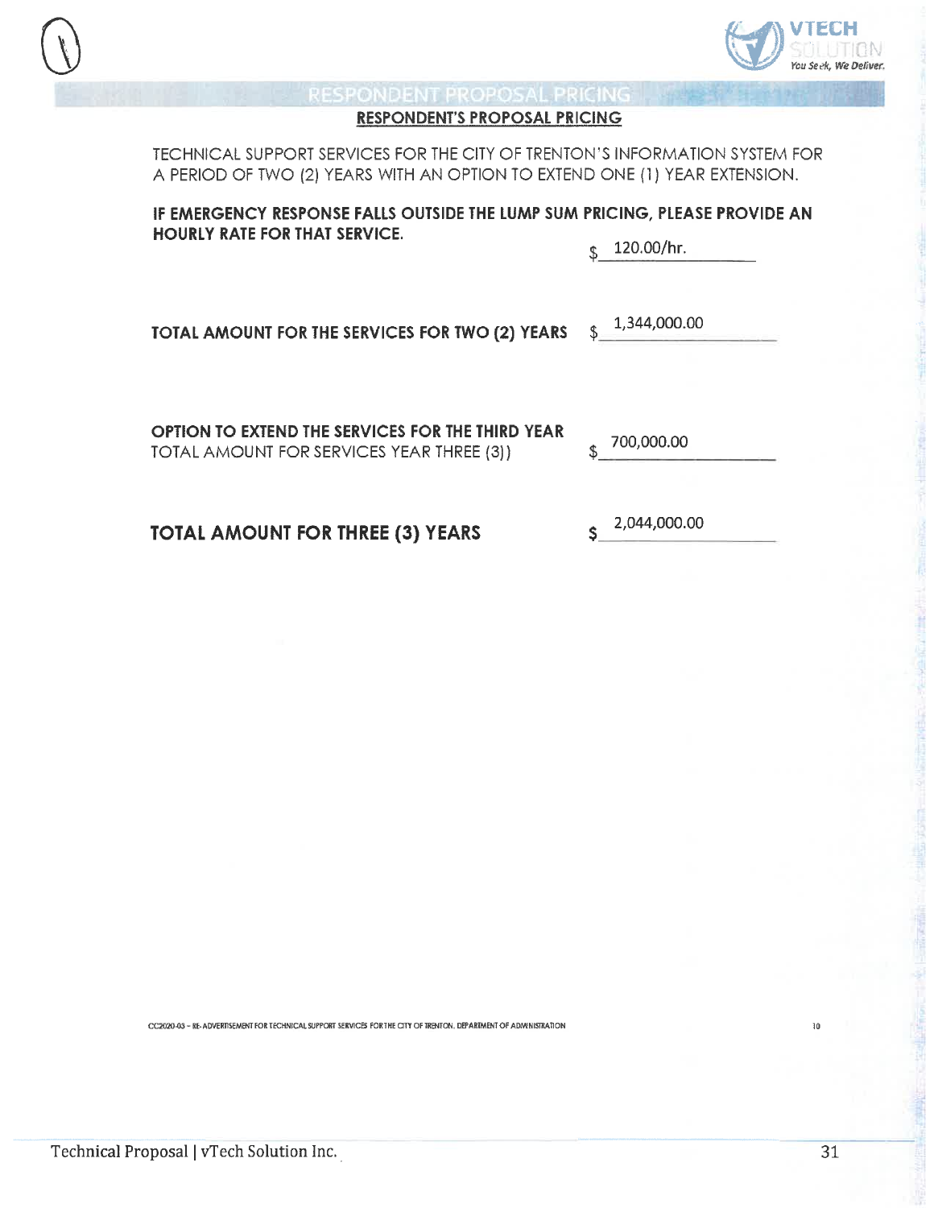



#### **RESPONDENT'S PROPOSAL PRICING**

TECHNICAL SUPPORT SERVICES FOR THE CITY OF TRENTON'S INFORMATION SYSTEM FOR A PERIOD OF TWO (2) YEARS WITH AN OPTION TO EXTEND ONE (1) YEAR EXTENSION.

IF EMERGENCY RESPONSE FALLS OUTSIDE THE LUMP SUM PRICING, PLEASE PROVIDE AN **HOURLY RATE FOR THAT SERVICE.** 

120.00/hr. \$

TOTAL AMOUNT FOR THE SERVICES FOR TWO (2) YEARS

1,344,000.00 Ŝ

OPTION TO EXTEND THE SERVICES FOR THE THIRD YEAR TOTAL AMOUNT FOR SERVICES YEAR THREE (3))

700,000.00 \$

TOTAL AMOUNT FOR THREE (3) YEARS

2,044,000.00  $\mathsf{S}$ 

CC2020-03 ~ RE-ADVERTISEMENT FOR TECHNICAL SUPPORT SERVICES FOR THE CITY OF TRENTON. DEPARTMENT OF ADMINISTRATION

 $\mathbf{10}$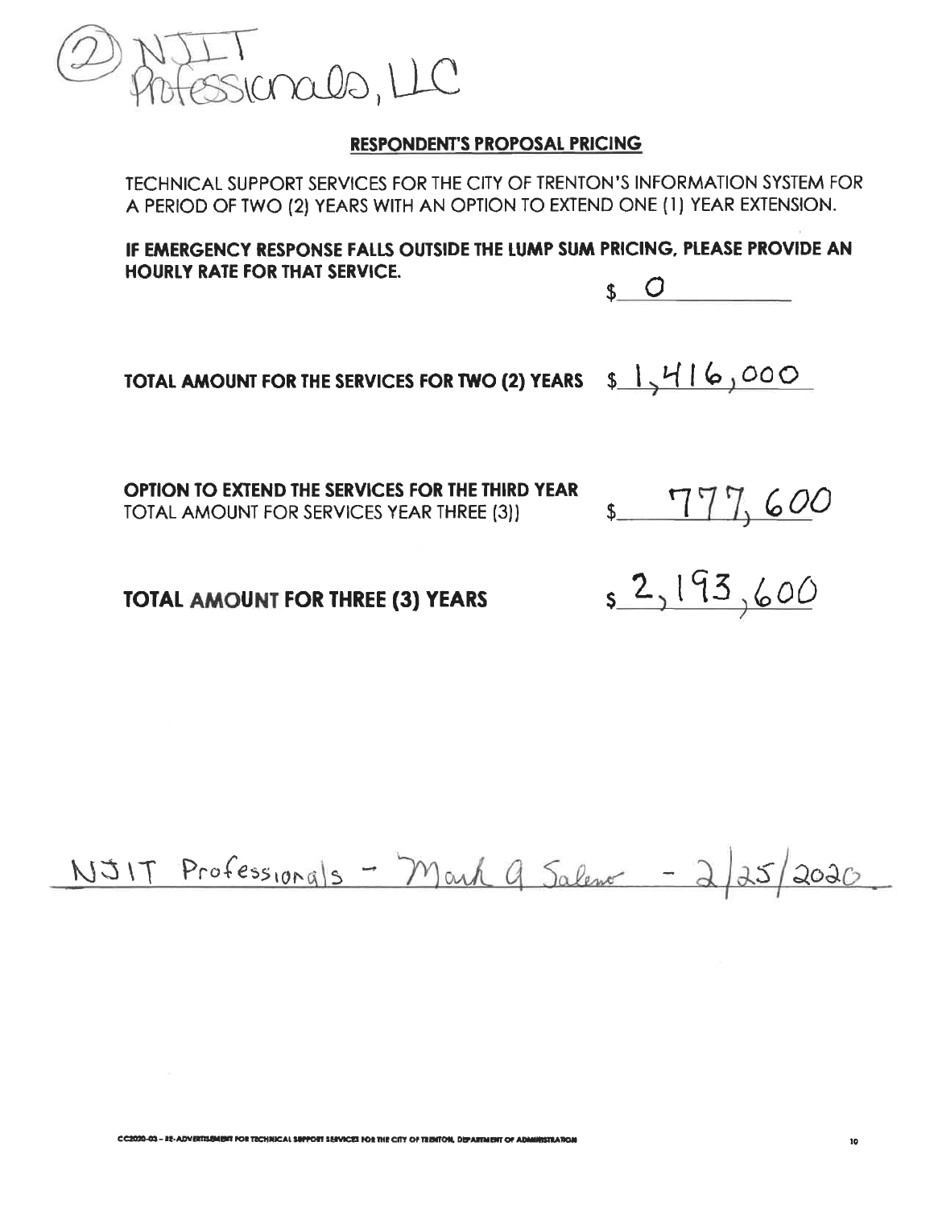

TECHNICAL SUPPORT SERVICES FOR THE CITY OF TRENTON'S INFORMATION SYSTEM FOR A PERIOD OF TWO (2) YEARS WITH AN OPTION TO EXTEND ONE (1) YEAR EXTENSION.

IF EMERGENCY RESPONSE FALLS OUTSIDE THE LUMP SUM PRICING, PLEASE PROVIDE AN **HOURLY RATE FOR THAT SERVICE.** 



TOTAL AMOUNT FOR THE SERVICES FOR TWO (2) YEARS  $\frac{1}{4}$   $\frac{1}{6}$   $\frac{000}{000}$ 

OPTION TO EXTEND THE SERVICES FOR THE THIRD YEAR TOTAL AMOUNT FOR SERVICES YEAR THREE (3))

\$777,600

**TOTAL AMOUNT FOR THREE (3) YEARS** 

 $52,193,600$ 

NJIT Professionals - Mark 9 Salema - 2/25/2020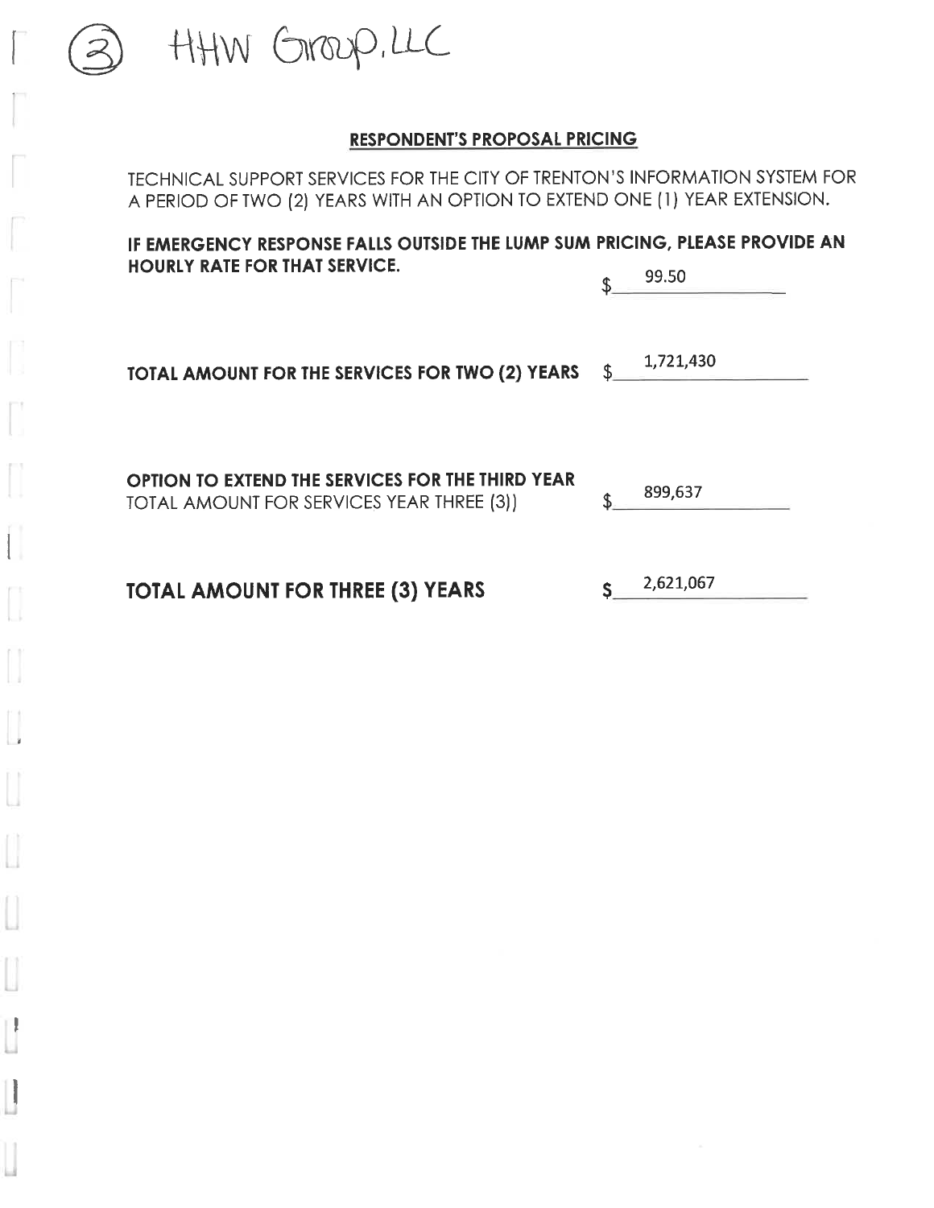HHW GROOD, LLC

TECHNICAL SUPPORT SERVICES FOR THE CITY OF TRENTON'S INFORMATION SYSTEM FOR A PERIOD OF TWO (2) YEARS WITH AN OPTION TO EXTEND ONE (1) YEAR EXTENSION.

IF EMERGENCY RESPONSE FALLS OUTSIDE THE LUMP SUM PRICING, PLEASE PROVIDE AN **HOURLY RATE FOR THAT SERVICE.** 99.50  $\mathbf{r}$ 1,721,430 TOTAL AMOUNT FOR THE SERVICES FOR TWO (2) YEARS \$ OPTION TO EXTEND THE SERVICES FOR THE THIRD YEAR 899,637 \$ TOTAL AMOUNT FOR SERVICES YEAR THREE (3)) 2,621,067 **TOTAL AMOUNT FOR THREE (3) YEARS** Ś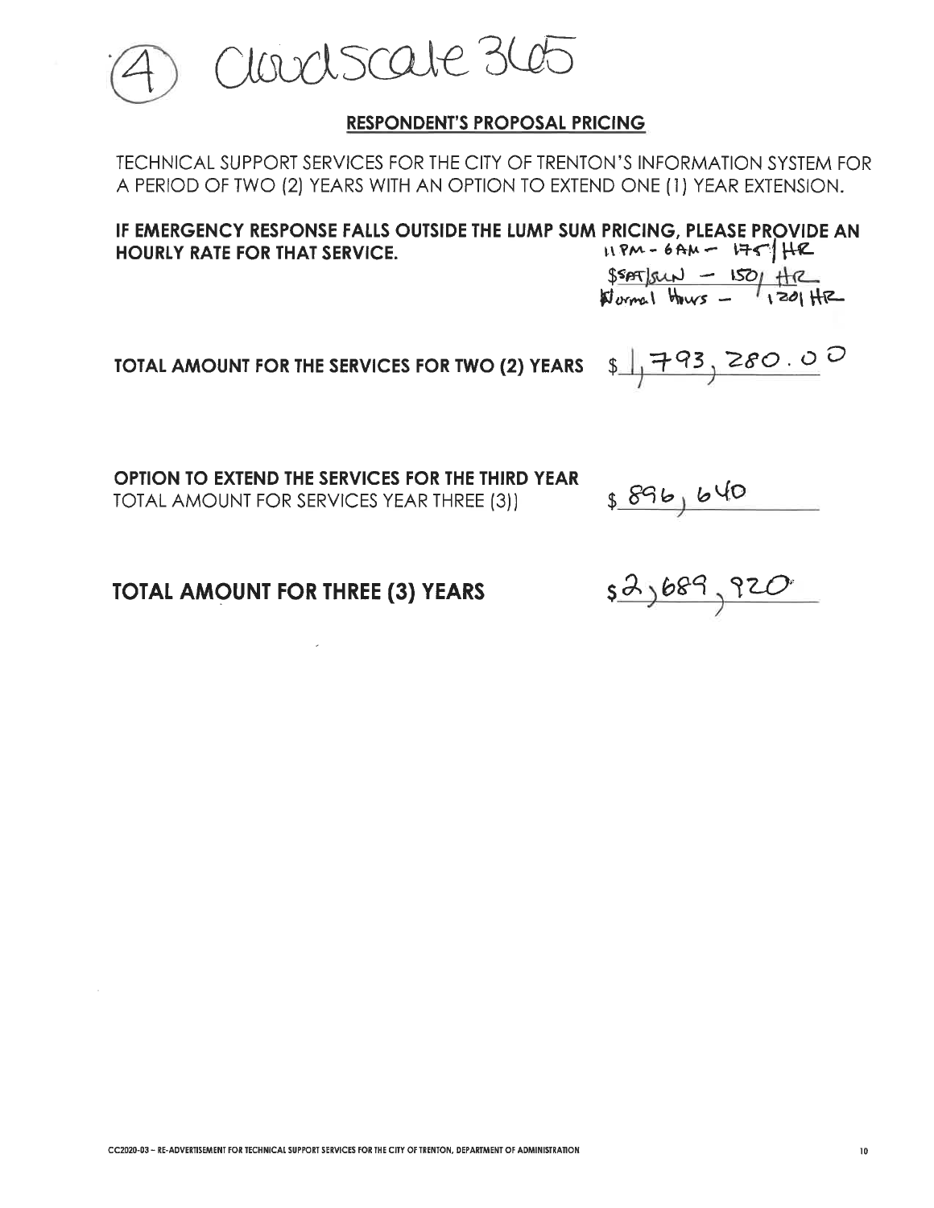

TECHNICAL SUPPORT SERVICES FOR THE CITY OF TRENTON'S INFORMATION SYSTEM FOR A PERIOD OF TWO (2) YEARS WITH AN OPTION TO EXTEND ONE (1) YEAR EXTENSION.

IF EMERGENCY RESPONSE FALLS OUTSIDE THE LUMP SUM PRICING. PLEASE PROVIDE AN  $HPM - 6AM - 175$   $HR$ HOURLY RATE FOR THAT SERVICE.

 $\frac{SSAT|SUN - ISO|HZ|}{SOMR}$ 

 $$1793,280.00$ 

TOTAL AMOUNT FOR THE SERVICES FOR TWO (2) YEARS

OPTION TO EXTEND THE SERVICES FOR THE THIRD YEAR TOTAL AMOUNT FOR SERVICES YEAR THREE (3))

 $$896,640$ 

**TOTAL AMOUNT FOR THREE (3) YEARS** 

<u>52,689,920</u>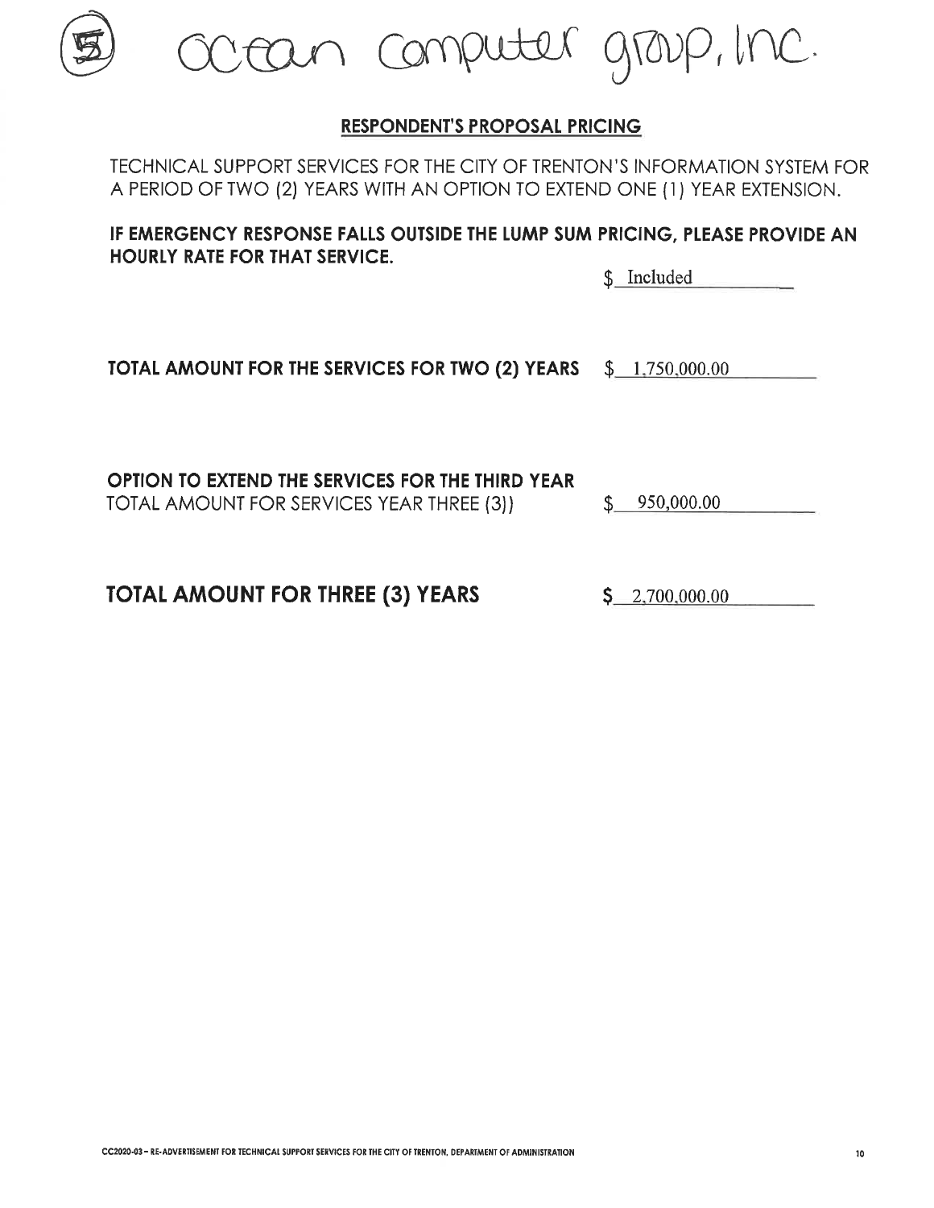10

# **RESPONDENT'S PROPOSAL PRICING**

TECHNICAL SUPPORT SERVICES FOR THE CITY OF TRENTON'S INFORMATION SYSTEM FOR A PERIOD OF TWO (2) YEARS WITH AN OPTION TO EXTEND ONE (1) YEAR EXTENSION.

IF EMERGENCY RESPONSE FALLS OUTSIDE THE LUMP SUM PRICING, PLEASE PROVIDE AN **HOURLY RATE FOR THAT SERVICE.** 

\$ Included

TOTAL AMOUNT FOR THE SERVICES FOR TWO (2) YEARS  $$1.750,000.00$ 

OPTION TO EXTEND THE SERVICES FOR THE THIRD YEAR TOTAL AMOUNT FOR SERVICES YEAR THREE (3)) \$

**TOTAL AMOUNT FOR THREE (3) YEARS** 

 $S = 2,700,000,00$ 

cean computer group, the.

950,000.00